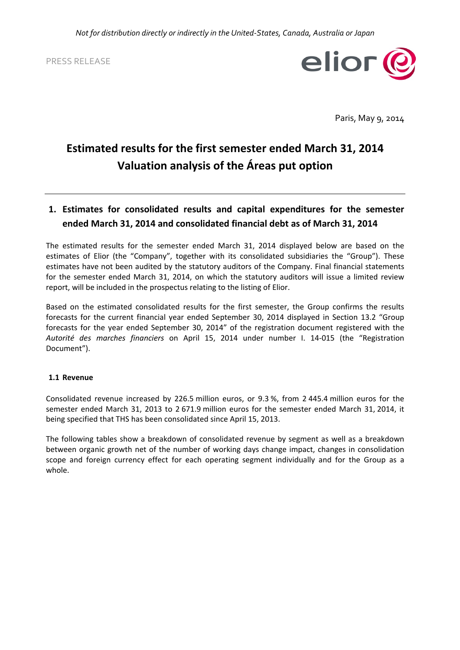PRESS RELEASE



Paris, May 9, 2014

# **Estimated results for the first semester ended March 31, 2014 Valuation analysis of the Áreas put option**

# **1. Estimates for consolidated results and capital expenditures for the semester ended March 31, 2014 and consolidated financial debt as of March 31, 2014**

The estimated results for the semester ended March 31, 2014 displayed below are based on the estimates of Elior (the "Company", together with its consolidated subsidiaries the "Group"). These estimates have not been audited by the statutory auditors of the Company. Final financial statements for the semester ended March 31, 2014, on which the statutory auditors will issue a limited review report, will be included in the prospectus relating to the listing of Elior.

Based on the estimated consolidated results for the first semester, the Group confirms the results forecasts for the current financial year ended September 30, 2014 displayed in Section 13.2 "Group forecasts for the year ended September 30, 2014" of the registration document registered with the *Autorité des marches financiers* on April 15, 2014 under number I. 14‐015 (the "Registration Document").

#### **1.1 Revenue**

Consolidated revenue increased by 226.5 million euros, or 9.3 %, from 2 445.4 million euros for the semester ended March 31, 2013 to 2 671.9 million euros for the semester ended March 31, 2014, it being specified that THS has been consolidated since April 15, 2013.

The following tables show a breakdown of consolidated revenue by segment as well as a breakdown between organic growth net of the number of working days change impact, changes in consolidation scope and foreign currency effect for each operating segment individually and for the Group as a whole.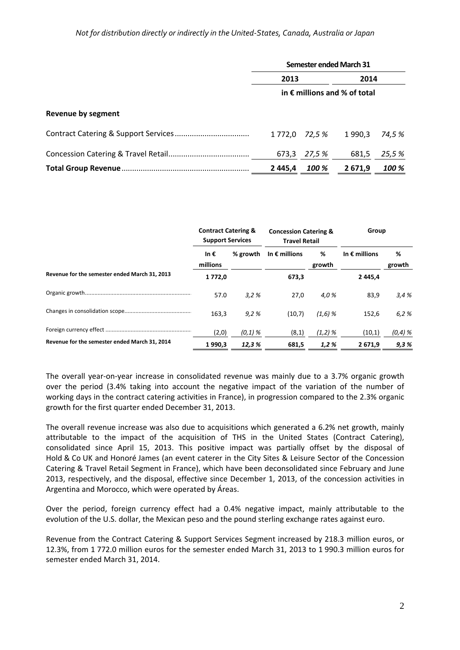|                           | <b>Semester ended March 31</b>        |                |         |        |  |
|---------------------------|---------------------------------------|----------------|---------|--------|--|
|                           | 2013                                  |                | 2014    |        |  |
|                           | in $\epsilon$ millions and % of total |                |         |        |  |
| <b>Revenue by segment</b> |                                       |                |         |        |  |
|                           |                                       | 1 772,0 72,5 % | 1 990.3 | 74,5 % |  |
|                           | 673,3                                 | 27,5 %         | 681,5   | 25,5 % |  |
|                           | 2445,4                                | <b>100 %</b>   | 2 671,9 | 100 %  |  |

|                                               | <b>Contract Catering &amp;</b><br><b>Support Services</b> |           | <b>Concession Catering &amp;</b><br><b>Travel Retail</b> |             | Group                  |             |
|-----------------------------------------------|-----------------------------------------------------------|-----------|----------------------------------------------------------|-------------|------------------------|-------------|
|                                               | In $\epsilon$<br>millions                                 | % growth  | In $\epsilon$ millions                                   | %<br>growth | In $\epsilon$ millions | %<br>growth |
| Revenue for the semester ended March 31, 2013 | 1772,0                                                    |           | 673,3                                                    |             | 2 4 4 5 . 4            |             |
|                                               | 57.0                                                      | 3.2%      | 27,0                                                     | 4.0%        | 83,9                   | 3.4%        |
|                                               | 163,3                                                     | 9,2%      | (10,7)                                                   | $(1,6)$ %   | 152.6                  | 6,2%        |
|                                               | (2,0)                                                     | $(0,1)$ % | (8,1)                                                    | $(1,2)$ %   | (10,1)                 | $(0,4)$ %   |
| Revenue for the semester ended March 31, 2014 | 1990,3                                                    | 12,3 %    | 681,5                                                    | 1,2%        | 2671,9                 | 9,3%        |

The overall year‐on‐year increase in consolidated revenue was mainly due to a 3.7% organic growth over the period (3.4% taking into account the negative impact of the variation of the number of working days in the contract catering activities in France), in progression compared to the 2.3% organic growth for the first quarter ended December 31, 2013.

The overall revenue increase was also due to acquisitions which generated a 6.2% net growth, mainly attributable to the impact of the acquisition of THS in the United States (Contract Catering), consolidated since April 15, 2013. This positive impact was partially offset by the disposal of Hold & Co UK and Honoré James (an event caterer in the City Sites & Leisure Sector of the Concession Catering & Travel Retail Segment in France), which have been deconsolidated since February and June 2013, respectively, and the disposal, effective since December 1, 2013, of the concession activities in Argentina and Morocco, which were operated by Áreas.

Over the period, foreign currency effect had a 0.4% negative impact, mainly attributable to the evolution of the U.S. dollar, the Mexican peso and the pound sterling exchange rates against euro.

Revenue from the Contract Catering & Support Services Segment increased by 218.3 million euros, or 12.3%, from 1 772.0 million euros for the semester ended March 31, 2013 to 1 990.3 million euros for semester ended March 31, 2014.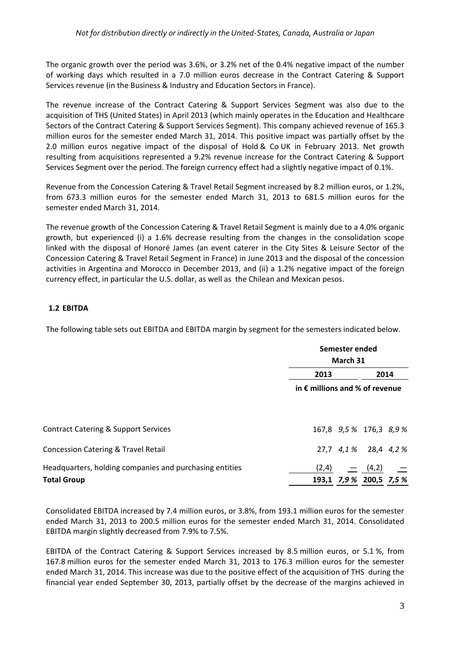The organic growth over the period was 3.6%, or 3.2% net of the 0.4% negative impact of the number of working days which resulted in a 7.0 million euros decrease in the Contract Catering & Support Services revenue (in the Business & Industry and Education Sectors in France).

The revenue increase of the Contract Catering & Support Services Segment was also due to the acquisition of THS (United States) in April 2013 (which mainly operates in the Education and Healthcare Sectors of the Contract Catering & Support Services Segment). This company achieved revenue of 165.3 million euros for the semester ended March 31, 2014. This positive impact was partially offset by the 2.0 million euros negative impact of the disposal of Hold & Co UK in February 2013. Net growth resulting from acquisitions represented a 9.2% revenue increase for the Contract Catering & Support Services Segment over the period. The foreign currency effect had a slightly negative impact of 0.1%.

Revenue from the Concession Catering & Travel Retail Segment increased by 8.2 million euros, or 1.2%, from 673.3 million euros for the semester ended March 31, 2013 to 681.5 million euros for the semester ended March 31, 2014.

The revenue growth of the Concession Catering & Travel Retail Segment is mainly due to a 4.0% organic growth, but experienced (i) a 1.6% decrease resulting from the changes in the consolidation scope linked with the disposal of Honoré James (an event caterer in the City Sites & Leisure Sector of the Concession Catering & Travel Retail Segment in France) in June 2013 and the disposal of the concession activities in Argentina and Morocco in December 2013, and (ii) a 1.2% negative impact of the foreign currency effect, in particular the U.S. dollar, as well as the Chilean and Mexican pesos.

### **1.2 EBITDA**

The following table sets out EBITDA and EBITDA margin by segment for the semesters indicated below.

|                                                                               |                                         | Semester ended<br>March 31                                                   |      |  |  |
|-------------------------------------------------------------------------------|-----------------------------------------|------------------------------------------------------------------------------|------|--|--|
|                                                                               | 2013                                    |                                                                              | 2014 |  |  |
|                                                                               | in $\epsilon$ millions and % of revenue |                                                                              |      |  |  |
| <b>Contract Catering &amp; Support Services</b>                               |                                         | 167,8 9,5 % 176,3 8,9 %                                                      |      |  |  |
| <b>Concession Catering &amp; Travel Retail</b>                                |                                         | 27,7 4,1% 28,4 4,2%                                                          |      |  |  |
| Headquarters, holding companies and purchasing entities<br><b>Total Group</b> |                                         | $(2,4)$ $\qquad \qquad =$ $(4,2)$ $\qquad \qquad =$<br>193,1 7,9% 200,5 7,5% |      |  |  |

Consolidated EBITDA increased by 7.4 million euros, or 3.8%, from 193.1 million euros for the semester ended March 31, 2013 to 200.5 million euros for the semester ended March 31, 2014. Consolidated EBITDA margin slightly decreased from 7.9% to 7.5%.

EBITDA of the Contract Catering & Support Services increased by 8.5 million euros, or 5.1 %, from 167.8 million euros for the semester ended March 31, 2013 to 176.3 million euros for the semester ended March 31, 2014. This increase was due to the positive effect of the acquisition of THS during the financial year ended September 30, 2013, partially offset by the decrease of the margins achieved in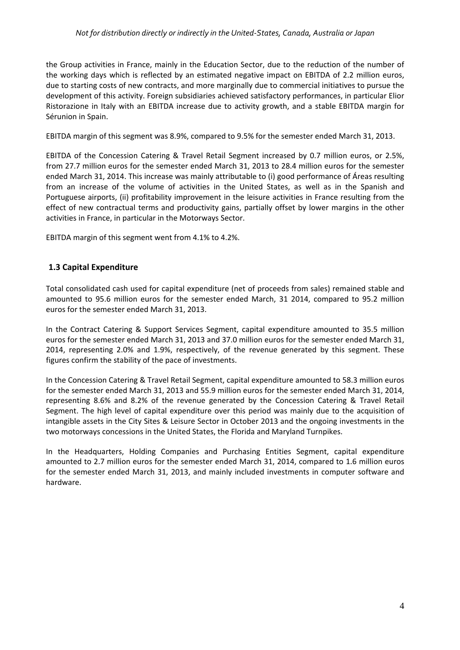### *Not for distribution directly or indirectly in the United‐States, Canada, Australia or Japan*

the Group activities in France, mainly in the Education Sector, due to the reduction of the number of the working days which is reflected by an estimated negative impact on EBITDA of 2.2 million euros, due to starting costs of new contracts, and more marginally due to commercial initiatives to pursue the development of this activity. Foreign subsidiaries achieved satisfactory performances, in particular Elior Ristorazione in Italy with an EBITDA increase due to activity growth, and a stable EBITDA margin for Sérunion in Spain.

EBITDA margin of this segment was 8.9%, compared to 9.5% for the semester ended March 31, 2013.

EBITDA of the Concession Catering & Travel Retail Segment increased by 0.7 million euros, or 2.5%, from 27.7 million euros for the semester ended March 31, 2013 to 28.4 million euros for the semester ended March 31, 2014. This increase was mainly attributable to (i) good performance of Áreas resulting from an increase of the volume of activities in the United States, as well as in the Spanish and Portuguese airports, (ii) profitability improvement in the leisure activities in France resulting from the effect of new contractual terms and productivity gains, partially offset by lower margins in the other activities in France, in particular in the Motorways Sector.

EBITDA margin of this segment went from 4.1% to 4.2%.

### **1.3 Capital Expenditure**

Total consolidated cash used for capital expenditure (net of proceeds from sales) remained stable and amounted to 95.6 million euros for the semester ended March, 31 2014, compared to 95.2 million euros for the semester ended March 31, 2013.

In the Contract Catering & Support Services Segment, capital expenditure amounted to 35.5 million euros for the semester ended March 31, 2013 and 37.0 million euros for the semester ended March 31, 2014, representing 2.0% and 1.9%, respectively, of the revenue generated by this segment. These figures confirm the stability of the pace of investments.

In the Concession Catering & Travel Retail Segment, capital expenditure amounted to 58.3 million euros for the semester ended March 31, 2013 and 55.9 million euros for the semester ended March 31, 2014, representing 8.6% and 8.2% of the revenue generated by the Concession Catering & Travel Retail Segment. The high level of capital expenditure over this period was mainly due to the acquisition of intangible assets in the City Sites & Leisure Sector in October 2013 and the ongoing investments in the two motorways concessions in the United States, the Florida and Maryland Turnpikes.

In the Headquarters, Holding Companies and Purchasing Entities Segment, capital expenditure amounted to 2.7 million euros for the semester ended March 31, 2014, compared to 1.6 million euros for the semester ended March 31, 2013, and mainly included investments in computer software and hardware.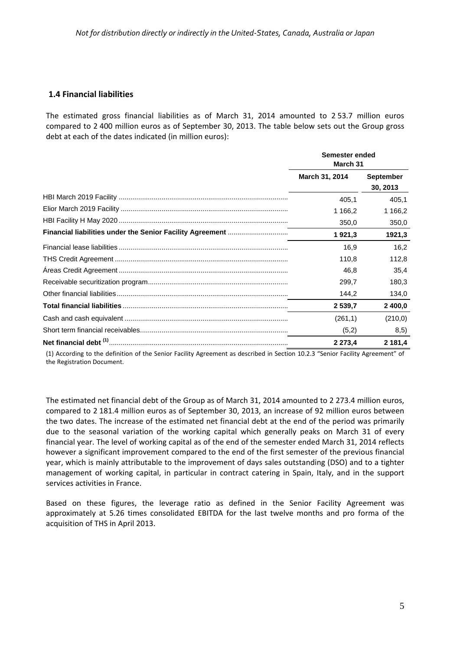### **1.4 Financial liabilities**

The estimated gross financial liabilities as of March 31, 2014 amounted to 2 53.7 million euros compared to 2 400 million euros as of September 30, 2013. The table below sets out the Group gross debt at each of the dates indicated (in million euros):

|                                                                   | Semester ended<br>March 31 |                              |  |
|-------------------------------------------------------------------|----------------------------|------------------------------|--|
|                                                                   | March 31, 2014             | <b>September</b><br>30, 2013 |  |
|                                                                   | 405.1                      | 405,1                        |  |
|                                                                   | 1 166,2                    | 1 1 66,2                     |  |
|                                                                   | 350,0                      | 350,0                        |  |
| <b>Financial liabilities under the Senior Facility Agreement </b> | 1921,3                     | 1921,3                       |  |
|                                                                   | 16.9                       | 16.2                         |  |
|                                                                   | 110.8                      | 112,8                        |  |
|                                                                   | 46.8                       | 35.4                         |  |
|                                                                   | 299.7                      | 180.3                        |  |
|                                                                   | 144,2                      | 134,0                        |  |
|                                                                   | 2 539.7                    | 2 400,0                      |  |
|                                                                   | (261,1)                    | (210, 0)                     |  |
|                                                                   | (5,2)                      | 8,5)                         |  |
|                                                                   | 2 2 7 3 4                  | 2 181,4                      |  |

(1) According to the definition of the Senior Facility Agreement as described in Section 10.2.3 "Senior Facility Agreement" of the Registration Document.

The estimated net financial debt of the Group as of March 31, 2014 amounted to 2 273.4 million euros, compared to 2 181.4 million euros as of September 30, 2013, an increase of 92 million euros between the two dates. The increase of the estimated net financial debt at the end of the period was primarily due to the seasonal variation of the working capital which generally peaks on March 31 of every financial year. The level of working capital as of the end of the semester ended March 31, 2014 reflects however a significant improvement compared to the end of the first semester of the previous financial year, which is mainly attributable to the improvement of days sales outstanding (DSO) and to a tighter management of working capital, in particular in contract catering in Spain, Italy, and in the support services activities in France.

Based on these figures, the leverage ratio as defined in the Senior Facility Agreement was approximately at 5.26 times consolidated EBITDA for the last twelve months and pro forma of the acquisition of THS in April 2013.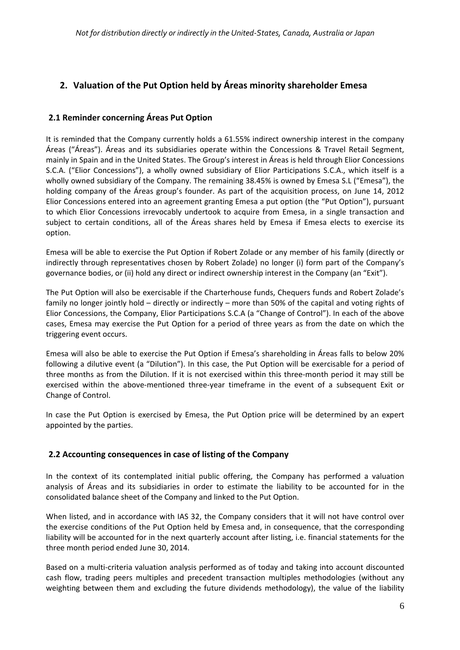# **2. Valuation of the Put Option held by Áreas minority shareholder Emesa**

## **2.1 Reminder concerning Áreas Put Option**

It is reminded that the Company currently holds a 61.55% indirect ownership interest in the company Áreas ("Áreas"). Áreas and its subsidiaries operate within the Concessions & Travel Retail Segment, mainly in Spain and in the United States. The Group's interest in Áreas is held through Elior Concessions S.C.A. ("Elior Concessions"), a wholly owned subsidiary of Elior Participations S.C.A., which itself is a wholly owned subsidiary of the Company. The remaining 38.45% is owned by Emesa S.L ("Emesa"), the holding company of the Áreas group's founder. As part of the acquisition process, on June 14, 2012 Elior Concessions entered into an agreement granting Emesa a put option (the "Put Option"), pursuant to which Elior Concessions irrevocably undertook to acquire from Emesa, in a single transaction and subject to certain conditions, all of the Áreas shares held by Emesa if Emesa elects to exercise its option.

Emesa will be able to exercise the Put Option if Robert Zolade or any member of his family (directly or indirectly through representatives chosen by Robert Zolade) no longer (i) form part of the Company's governance bodies, or (ii) hold any direct or indirect ownership interest in the Company (an "Exit").

The Put Option will also be exercisable if the Charterhouse funds, Chequers funds and Robert Zolade's family no longer jointly hold – directly or indirectly – more than 50% of the capital and voting rights of Elior Concessions, the Company, Elior Participations S.C.A (a "Change of Control"). In each of the above cases, Emesa may exercise the Put Option for a period of three years as from the date on which the triggering event occurs.

Emesa will also be able to exercise the Put Option if Emesa's shareholding in Áreas falls to below 20% following a dilutive event (a "Dilution"). In this case, the Put Option will be exercisable for a period of three months as from the Dilution. If it is not exercised within this three-month period it may still be exercised within the above-mentioned three-year timeframe in the event of a subsequent Exit or Change of Control.

In case the Put Option is exercised by Emesa, the Put Option price will be determined by an expert appointed by the parties.

### **2.2 Accounting consequences in case of listing of the Company**

In the context of its contemplated initial public offering, the Company has performed a valuation analysis of Áreas and its subsidiaries in order to estimate the liability to be accounted for in the consolidated balance sheet of the Company and linked to the Put Option.

When listed, and in accordance with IAS 32, the Company considers that it will not have control over the exercise conditions of the Put Option held by Emesa and, in consequence, that the corresponding liability will be accounted for in the next quarterly account after listing, i.e. financial statements for the three month period ended June 30, 2014.

Based on a multi‐criteria valuation analysis performed as of today and taking into account discounted cash flow, trading peers multiples and precedent transaction multiples methodologies (without any weighting between them and excluding the future dividends methodology), the value of the liability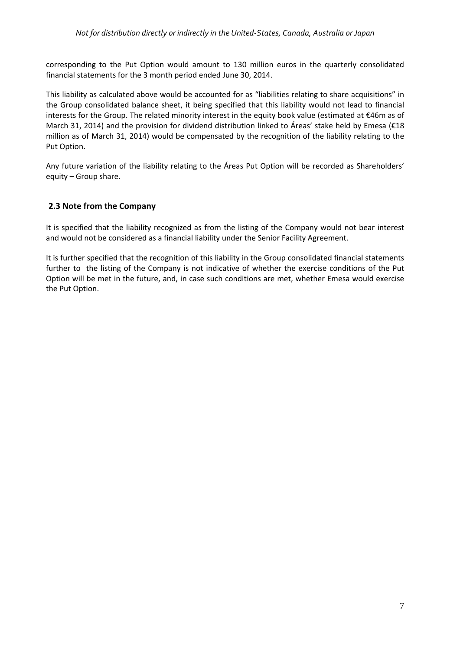corresponding to the Put Option would amount to 130 million euros in the quarterly consolidated financial statements for the 3 month period ended June 30, 2014.

This liability as calculated above would be accounted for as "liabilities relating to share acquisitions" in the Group consolidated balance sheet, it being specified that this liability would not lead to financial interests for the Group. The related minority interest in the equity book value (estimated at €46m as of March 31, 2014) and the provision for dividend distribution linked to Áreas' stake held by Emesa (€18 million as of March 31, 2014) would be compensated by the recognition of the liability relating to the Put Option.

Any future variation of the liability relating to the Áreas Put Option will be recorded as Shareholders' equity – Group share.

### **2.3 Note from the Company**

It is specified that the liability recognized as from the listing of the Company would not bear interest and would not be considered as a financial liability under the Senior Facility Agreement.

It is further specified that the recognition of this liability in the Group consolidated financial statements further to the listing of the Company is not indicative of whether the exercise conditions of the Put Option will be met in the future, and, in case such conditions are met, whether Emesa would exercise the Put Option.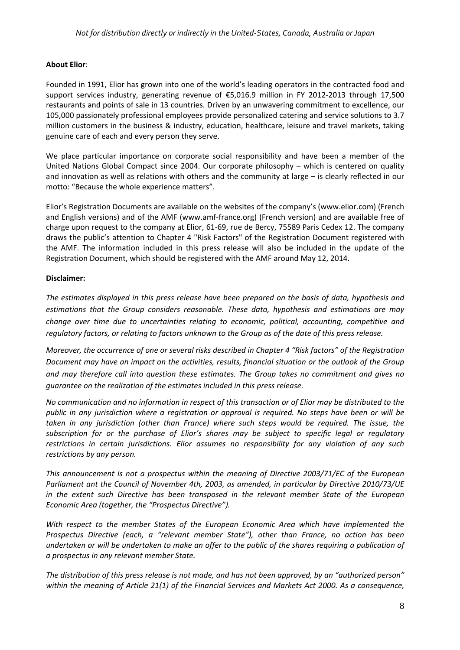#### **About Elior**:

Founded in 1991, Elior has grown into one of the world's leading operators in the contracted food and support services industry, generating revenue of €5,016.9 million in FY 2012-2013 through 17,500 restaurants and points of sale in 13 countries. Driven by an unwavering commitment to excellence, our 105,000 passionately professional employees provide personalized catering and service solutions to 3.7 million customers in the business & industry, education, healthcare, leisure and travel markets, taking genuine care of each and every person they serve.

We place particular importance on corporate social responsibility and have been a member of the United Nations Global Compact since 2004. Our corporate philosophy – which is centered on quality and innovation as well as relations with others and the community at large – is clearly reflected in our motto: "Because the whole experience matters".

Elior's Registration Documents are available on the websites of the company's (www.elior.com) (French and English versions) and of the AMF (www.amf‐france.org) (French version) and are available free of charge upon request to the company at Elior, 61‐69, rue de Bercy, 75589 Paris Cedex 12. The company draws the public's attention to Chapter 4 "Risk Factors" of the Registration Document registered with the AMF. The information included in this press release will also be included in the update of the Registration Document, which should be registered with the AMF around May 12, 2014.

### **Disclaimer:**

*The estimates displayed in this press release have been prepared on the basis of data, hypothesis and estimations that the Group considers reasonable. These data, hypothesis and estimations are may change over time due to uncertainties relating to economic, political, accounting, competitive and* regulatory factors, or relating to factors unknown to the Group as of the date of this press release.

Moreover, the occurrence of one or several risks described in Chapter 4 "Risk factors" of the Registration *Document may have an impact on the activities, results, financial situation or the outlook of the Group and may therefore call into question these estimates. The Group takes no commitment and gives no guarantee on the realization of the estimates included in this press release.*

No communication and no information in respect of this transaction or of Elior may be distributed to the public in any jurisdiction where a registration or approval is required. No steps have been or will be *taken in any jurisdiction (other than France) where such steps would be required. The issue, the subscription for or the purchase of Elior's shares may be subject to specific legal or regulatory restrictions in certain jurisdictions. Elior assumes no responsibility for any violation of any such restrictions by any person.*

*This announcement is not a prospectus within the meaning of Directive 2003/71/EC of the European Parliament ant the Council of November 4th, 2003, as amended, in particular by Directive 2010/73/UE in the extent such Directive has been transposed in the relevant member State of the European Economic Area (together, the "Prospectus Directive").*

*With respect to the member States of the European Economic Area which have implemented the Prospectus Directive (each, a "relevant member State"), other than France, no action has been* undertaken or will be undertaken to make an offer to the public of the shares requiring a publication of *a prospectus in any relevant member State.*

The distribution of this press release is not made, and has not been approved, by an "authorized person" *within the meaning of Article 21(1) of the Financial Services and Markets Act 2000. As a consequence,*